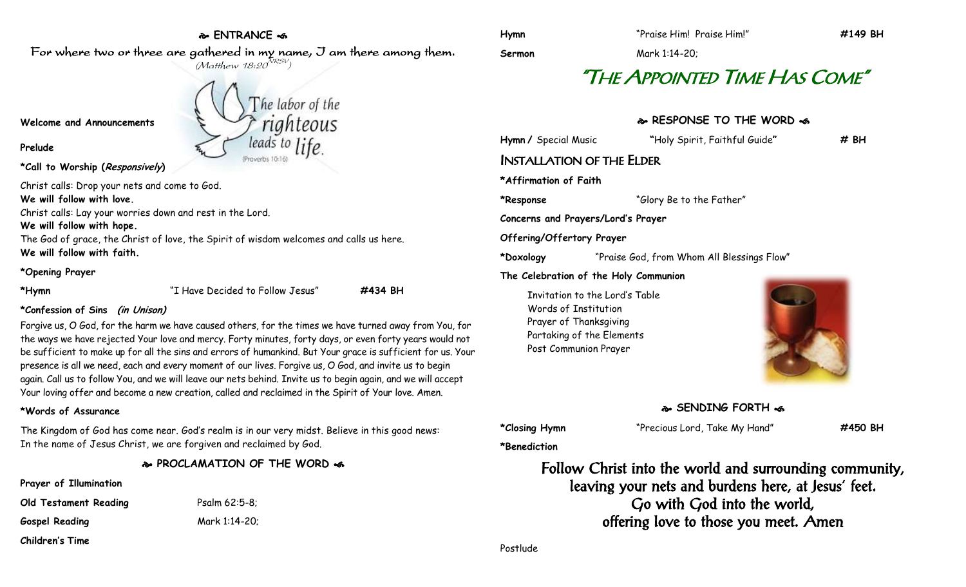# **ENTRANCE**

For where two or three are gathered in my name, I am there among them.  $(M$ atthew 18:20 $^{NRSV})$ 

**Welcome and Announcements**

**Prelude**

## **\*Call to Worship (Responsively)**

Christ calls: Drop your nets and come to God.

**We will follow with love.**

Christ calls: Lay your worries down and rest in the Lord.

**We will follow with hope.**

The God of grace, the Christ of love, the Spirit of wisdom welcomes and calls us here. **We will follow with faith.**

### **\*Opening Prayer**

**\*Hymn** "I Have Decided to Follow Jesus" **#434 BH**

**\*Confession of Sins (in Unison)**

Forgive us, O God, for the harm we have caused others, for the times we have turned away from You, for the ways we have rejected Your love and mercy. Forty minutes, forty days, or even forty years would not be sufficient to make up for all the sins and errors of humankind. But Your grace is sufficient for us. Your presence is all we need, each and every moment of our lives. Forgive us, O God, and invite us to begin again. Call us to follow You, and we will leave our nets behind. Invite us to begin again, and we will accept Your loving offer and become a new creation, called and reclaimed in the Spirit of Your love. Amen.

# **\*Words of Assurance**

The Kingdom of God has come near. God's realm is in our very midst. Believe in this good news: In the name of Jesus Christ, we are forgiven and reclaimed by God.

**PROCLAMATION OF THE WORD** 

## **Prayer of Illumination**

**Old Testament Reading** Psalm 62:5-8; **Gospel Reading** Mark 1:14-20;

**Children's Time**

he labor of the righteous leads to life Proverbs 10:16)

**Sermon** Mark 1:14-20;

# "THE APPOINTED TIME HAS COME"

# **RESPONSE TO THE WORD**

**Hymn /** Special Music **"**Holy Spirit, Faithful Guide**" # BH** INSTALLATION OF THE ELDER

**\*Affirmation of Faith**

**\*Response** "Glory Be to the Father"

**Concerns and Prayers/Lord's Prayer**

**Offering/Offertory Prayer**

**\*Doxology** "Praise God, from Whom All Blessings Flow"

## **The Celebration of the Holy Communion**

Invitation to the Lord's Table Words of Institution Prayer of Thanksgiving Partaking of the Elements Post Communion Prayer



**SENDING FORTH** 

**\*Closing Hymn** "Precious Lord, Take My Hand" **#450 BH**

**\*Benediction**

Follow Christ into the world and surrounding community, leaving your nets and burdens here, at Jesus' feet. Go with God into the world, offering love to those you meet. Amen

Postlude